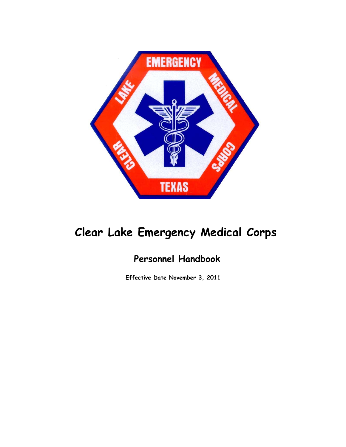

# **Clear Lake Emergency Medical Corps**

# **Personnel Handbook**

**Effective Date November 3, 2011**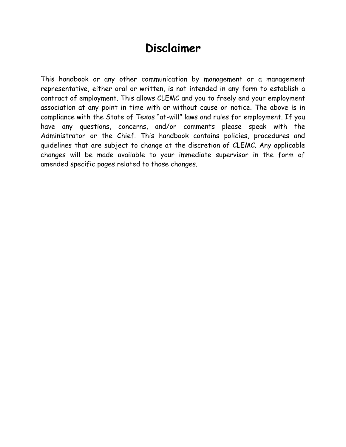# **Disclaimer**

This handbook or any other communication by management or a management representative, either oral or written, is not intended in any form to establish a contract of employment. This allows CLEMC and you to freely end your employment association at any point in time with or without cause or notice. The above is in compliance with the State of Texas "at-will" laws and rules for employment. If you have any questions, concerns, and/or comments please speak with the Administrator or the Chief. This handbook contains policies, procedures and guidelines that are subject to change at the discretion of CLEMC. Any applicable changes will be made available to your immediate supervisor in the form of amended specific pages related to those changes.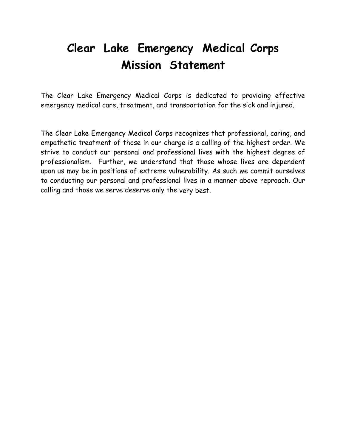# **Clear Lake Emergency Medical Corps Mission Statement**

The Clear Lake Emergency Medical Corps is dedicated to providing effective emergency medical care, treatment, and transportation for the sick and injured.

The Clear Lake Emergency Medical Corps recognizes that professional, caring, and empathetic treatment of those in our charge is a calling of the highest order. We strive to conduct our personal and professional lives with the highest degree of professionalism. Further, we understand that those whose lives are dependent upon us may be in positions of extreme vulnerability. As such we commit ourselves to conducting our personal and professional lives in a manner above reproach. Our calling and those we serve deserve only the very best.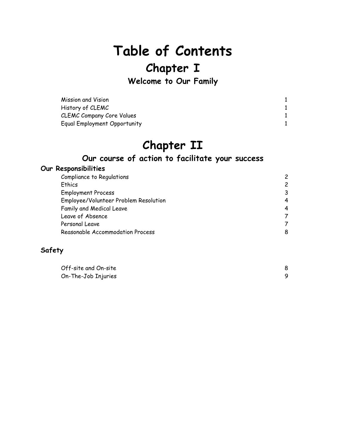# **Table of Contents**

# **Chapter I**

**Welcome to Our Family** 

| Mission and Vision               |  |
|----------------------------------|--|
| History of CLEMC                 |  |
| <b>CLEMC Company Core Values</b> |  |
| Equal Employment Opportunity     |  |

# **Chapter II**

# **Our course of action to facilitate your success**

#### **Our Responsibilities**

| Compliance to Regulations             |               |
|---------------------------------------|---------------|
| Ethics                                | $\mathcal{P}$ |
| <b>Employment Process</b>             | 3             |
| Employee/Volunteer Problem Resolution | 4             |
| Family and Medical Leave              | 4             |
| Leave of Absence                      |               |
| Personal Leave                        |               |
| Reasonable Accommodation Process      | 8             |
|                                       |               |

#### **Safety**

| Off-site and On-site |  |
|----------------------|--|
| On-The-Job Injuries  |  |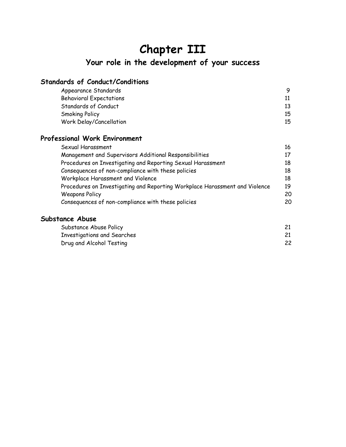# **Chapter III**

# **Your role in the development of your success**

## **Standards of Conduct/Conditions**

| Appearance Standards           |    |
|--------------------------------|----|
| <b>Behavioral Expectations</b> |    |
| Standards of Conduct           |    |
| <b>Smoking Policy</b>          | 15 |
| Work Delay/Cancellation        | 15 |

### **Professional Work Environment**

| Sexual Harassment                                                           |     |
|-----------------------------------------------------------------------------|-----|
| Management and Supervisors Additional Responsibilities                      |     |
| Procedures on Investigating and Reporting Sexual Harassment                 | 18  |
| Consequences of non-compliance with these policies                          | 18  |
| Workplace Harassment and Violence                                           | 18  |
| Procedures on Investigating and Reporting Workplace Harassment and Violence | 19  |
| <b>Weapons Policy</b>                                                       | 20  |
| Consequences of non-compliance with these policies                          | 20. |

#### **Substance Abuse**

| Substance Abuse Policy      |    |
|-----------------------------|----|
| Investigations and Searches |    |
| Drug and Alcohol Testing    | 22 |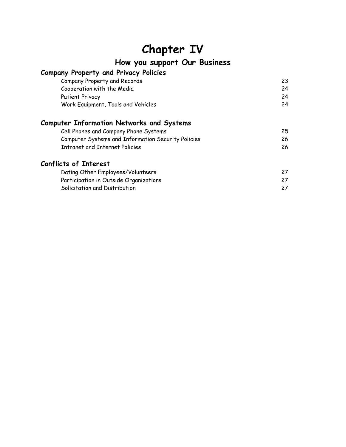# **Chapter IV**

**How you support Our Business** 

# **Company Property and Privacy Policies**

| Company Property and Records       |    |
|------------------------------------|----|
| Cooperation with the Media         | 24 |
| Patient Privacy                    | 24 |
| Work Equipment, Tools and Vehicles | 24 |

## **Computer Information Networks and Systems**

| Cell Phones and Company Phone Systems              | 25 |
|----------------------------------------------------|----|
| Computer Systems and Information Security Policies | 26 |
| Intranet and Internet Policies                     | 26 |

## **Conflicts of Interest**

| Dating Other Employees/Volunteers      |  |
|----------------------------------------|--|
| Participation in Outside Organizations |  |
| Solicitation and Distribution          |  |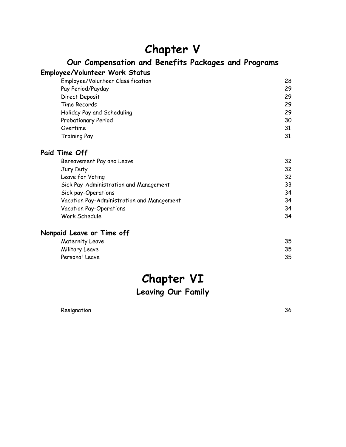# **Chapter V**

# **Our Compensation and Benefits Packages and Programs**

#### **Employee/Volunteer Work Status**

| Employee/Volunteer Classification | 28 |
|-----------------------------------|----|
| Pay Period/Payday                 | 29 |
| Direct Deposit                    | 29 |
| Time Records                      | 29 |
| Holiday Pay and Scheduling        | 29 |
| Probationary Period               | 30 |
| Overtime                          | 31 |
| <b>Training Pay</b>               | 31 |

#### **Paid Time Off**

| 32 |
|----|
| 32 |
| 32 |
| 33 |
| 34 |
| 34 |
| 34 |
| 34 |
|    |

### **Nonpaid Leave or Time off**

| Maternity Leave | 35 |
|-----------------|----|
| Military Leave  | 35 |
| Personal Leave  | 35 |

# **Chapter VI**

**Leaving Our Family** 

Resignation 36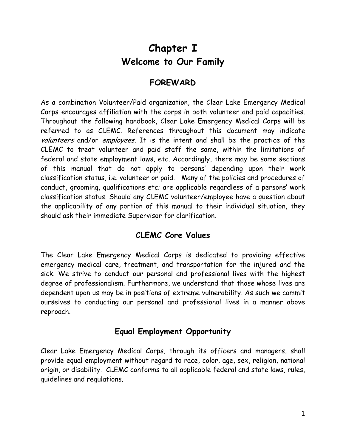# **Chapter I Welcome to Our Family**

# **FOREWARD**

As a combination Volunteer/Paid organization, the Clear Lake Emergency Medical Corps encourages affiliation with the corps in both volunteer and paid capacities. Throughout the following handbook, Clear Lake Emergency Medical Corps will be referred to as CLEMC. References throughout this document may indicate volunteers and/or employees. It is the intent and shall be the practice of the CLEMC to treat volunteer and paid staff the same, within the limitations of federal and state employment laws, etc. Accordingly, there may be some sections of this manual that do not apply to persons' depending upon their work classification status, i.e. volunteer or paid. Many of the policies and procedures of conduct, grooming, qualifications etc; are applicable regardless of a persons' work classification status. Should any CLEMC volunteer/employee have a question about the applicability of any portion of this manual to their individual situation, they should ask their immediate Supervisor for clarification.

# **CLEMC Core Values**

The Clear Lake Emergency Medical Corps is dedicated to providing effective emergency medical care, treatment, and transportation for the injured and the sick. We strive to conduct our personal and professional lives with the highest degree of professionalism. Furthermore, we understand that those whose lives are dependent upon us may be in positions of extreme vulnerability. As such we commit ourselves to conducting our personal and professional lives in a manner above reproach.

# **Equal Employment Opportunity**

Clear Lake Emergency Medical Corps, through its officers and managers, shall provide equal employment without regard to race, color, age, sex, religion, national origin, or disability. CLEMC conforms to all applicable federal and state laws, rules, guidelines and regulations.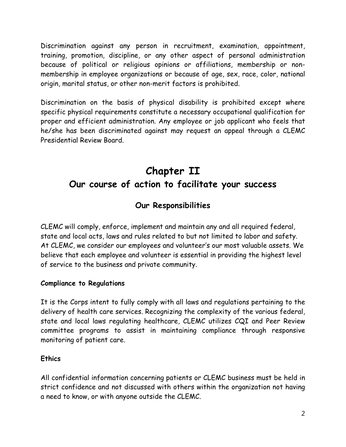Discrimination against any person in recruitment, examination, appointment, training, promotion, discipline, or any other aspect of personal administration because of political or religious opinions or affiliations, membership or nonmembership in employee organizations or because of age, sex, race, color, national origin, marital status, or other non-merit factors is prohibited.

Discrimination on the basis of physical disability is prohibited except where specific physical requirements constitute a necessary occupational qualification for proper and efficient administration. Any employee or job applicant who feels that he/she has been discriminated against may request an appeal through a CLEMC Presidential Review Board.

# **Chapter II Our course of action to facilitate your success**

# **Our Responsibilities**

CLEMC will comply, enforce, implement and maintain any and all required federal, state and local acts, laws and rules related to but not limited to labor and safety. At CLEMC, we consider our employees and volunteer's our most valuable assets. We believe that each employee and volunteer is essential in providing the highest level of service to the business and private community.

#### **Compliance to Regulations**

It is the Corps intent to fully comply with all laws and regulations pertaining to the delivery of health care services. Recognizing the complexity of the various federal, state and local laws regulating healthcare, CLEMC utilizes CQI and Peer Review committee programs to assist in maintaining compliance through responsive monitoring of patient care.

#### **Ethics**

All confidential information concerning patients or CLEMC business must be held in strict confidence and not discussed with others within the organization not having a need to know, or with anyone outside the CLEMC.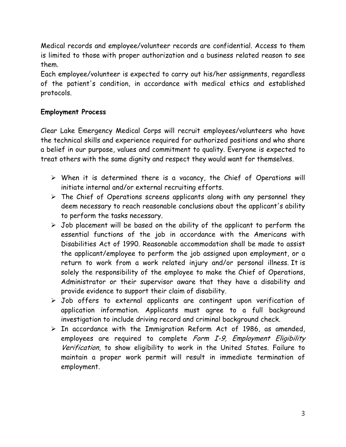Medical records and employee/volunteer records are confidential. Access to them is limited to those with proper authorization and a business related reason to see them.

Each employee/volunteer is expected to carry out his/her assignments, regardless of the patient's condition, in accordance with medical ethics and established protocols.

#### **Employment Process**

Clear Lake Emergency Medical Corps will recruit employees/volunteers who have the technical skills and experience required for authorized positions and who share a belief in our purpose, values and commitment to quality. Everyone is expected to treat others with the same dignity and respect they would want for themselves.

- $\triangleright$  When it is determined there is a vacancy, the Chief of Operations will initiate internal and/or external recruiting efforts.
- $\triangleright$  The Chief of Operations screens applicants along with any personnel they deem necessary to reach reasonable conclusions about the applicant's ability to perform the tasks necessary.
- $\triangleright$  Job placement will be based on the ability of the applicant to perform the essential functions of the job in accordance with the Americans with Disabilities Act of 1990. Reasonable accommodation shall be made to assist the applicant/employee to perform the job assigned upon employment, or a return to work from a work related injury and/or personal illness. It is solely the responsibility of the employee to make the Chief of Operations, Administrator or their supervisor aware that they have a disability and provide evidence to support their claim of disability.
- $\triangleright$  Job offers to external applicants are contingent upon verification of application information. Applicants must agree to a full background investigation to include driving record and criminal background check.
- $\triangleright$  In accordance with the Immigration Reform Act of 1986, as amended, employees are required to complete Form I-9, Employment Eligibility Verification, to show eligibility to work in the United States. Failure to maintain a proper work permit will result in immediate termination of employment.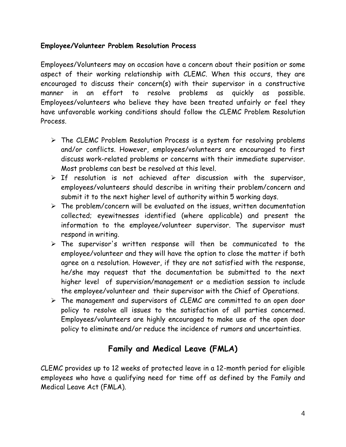#### **Employee/Volunteer Problem Resolution Process**

Employees/Volunteers may on occasion have a concern about their position or some aspect of their working relationship with CLEMC. When this occurs, they are encouraged to discuss their concern(s) with their supervisor in a constructive manner in an effort to resolve problems as quickly as possible. Employees/volunteers who believe they have been treated unfairly or feel they have unfavorable working conditions should follow the CLEMC Problem Resolution Process.

- $\triangleright$  The CLEMC Problem Resolution Process is a system for resolving problems and/or conflicts. However, employees/volunteers are encouraged to first discuss work-related problems or concerns with their immediate supervisor. Most problems can best be resolved at this level.
- $\triangleright$  If resolution is not achieved after discussion with the supervisor, employees/volunteers should describe in writing their problem/concern and submit it to the next higher level of authority within 5 working days.
- $\triangleright$  The problem/concern will be evaluated on the issues, written documentation collected; eyewitnesses identified (where applicable) and present the information to the employee/volunteer supervisor. The supervisor must respond in writing.
- $\triangleright$  The supervisor's written response will then be communicated to the employee/volunteer and they will have the option to close the matter if both agree on a resolution. However, if they are not satisfied with the response, he/she may request that the documentation be submitted to the next higher level of supervision/management or a mediation session to include the employee/volunteer and their supervisor with the Chief of Operations.
- $\triangleright$  The management and supervisors of CLEMC are committed to an open door policy to resolve all issues to the satisfaction of all parties concerned. Employees/volunteers are highly encouraged to make use of the open door policy to eliminate and/or reduce the incidence of rumors and uncertainties.

# **Family and Medical Leave (FMLA)**

CLEMC provides up to 12 weeks of protected leave in a 12-month period for eligible employees who have a qualifying need for time off as defined by the Family and Medical Leave Act (FMLA).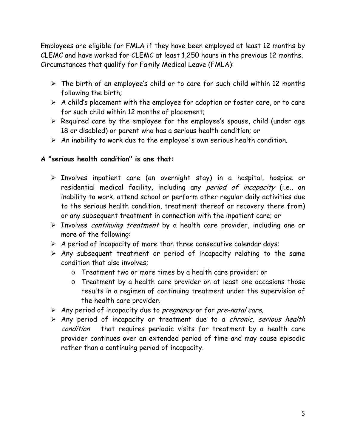Employees are eligible for FMLA if they have been employed at least 12 months by CLEMC and have worked for CLEMC at least 1,250 hours in the previous 12 months. Circumstances that qualify for Family Medical Leave (FMLA):

- $\triangleright$  The birth of an employee's child or to care for such child within 12 months following the birth;
- $\triangleright$  A child's placement with the employee for adoption or foster care, or to care for such child within 12 months of placement;
- $\triangleright$  Required care by the employee for the employee's spouse, child (under age 18 or disabled) or parent who has a serious health condition; or
- $\triangleright$  An inability to work due to the employee's own serious health condition.

#### **A "serious health condition" is one that:**

- $\triangleright$  Involves inpatient care (an overnight stay) in a hospital, hospice or residential medical facility, including any period of incapacity (i.e., an inability to work, attend school or perform other regular daily activities due to the serious health condition, treatment thereof or recovery there from) or any subsequent treatment in connection with the inpatient care; or
- > Involves continuing treatment by a health care provider, including one or more of the following:
- $\triangleright$  A period of incapacity of more than three consecutive calendar days;
- $\triangleright$  Any subsequent treatment or period of incapacity relating to the same condition that also involves;
	- o Treatment two or more times by a health care provider; or
	- o Treatment by a health care provider on at least one occasions those results in a regimen of continuing treatment under the supervision of the health care provider.
- $\triangleright$  Any period of incapacity due to *pregnancy* or for *pre-natal care.*
- $\triangleright$  Any period of incapacity or treatment due to a *chronic, serious health* condition that requires periodic visits for treatment by a health care provider continues over an extended period of time and may cause episodic rather than a continuing period of incapacity.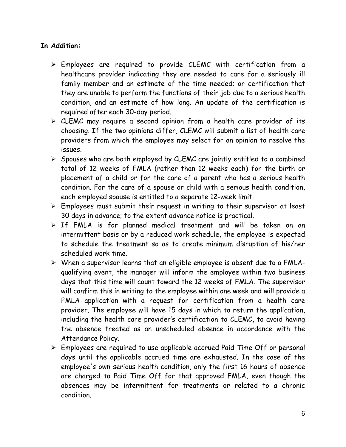#### **In Addition:**

- $\triangleright$  Employees are required to provide CLEMC with certification from a healthcare provider indicating they are needed to care for a seriously ill family member and an estimate of the time needed; or certification that they are unable to perform the functions of their job due to a serious health condition, and an estimate of how long. An update of the certification is required after each 30-day period.
- $\triangleright$  CLEMC may require a second opinion from a health care provider of its choosing. If the two opinions differ, CLEMC will submit a list of health care providers from which the employee may select for an opinion to resolve the issues.
- $\triangleright$  Spouses who are both employed by CLEMC are jointly entitled to a combined total of 12 weeks of FMLA (rather than 12 weeks each) for the birth or placement of a child or for the care of a parent who has a serious health condition. For the care of a spouse or child with a serious health condition, each employed spouse is entitled to a separate 12-week limit.
- $\triangleright$  Employees must submit their request in writing to their supervisor at least 30 days in advance; to the extent advance notice is practical.
- $\triangleright$  If FMLA is for planned medical treatment and will be taken on an intermittent basis or by a reduced work schedule, the employee is expected to schedule the treatment so as to create minimum disruption of his/her scheduled work time.
- $\triangleright$  When a supervisor learns that an eligible employee is absent due to a FMLAqualifying event, the manager will inform the employee within two business days that this time will count toward the 12 weeks of FMLA. The supervisor will confirm this in writing to the employee within one week and will provide a FMLA application with a request for certification from a health care provider. The employee will have 15 days in which to return the application, including the health care provider's certification to CLEMC, to avoid having the absence treated as an unscheduled absence in accordance with the Attendance Policy.
- Employees are required to use applicable accrued Paid Time Off or personal days until the applicable accrued time are exhausted. In the case of the employee's own serious health condition, only the first 16 hours of absence are charged to Paid Time Off for that approved FMLA, even though the absences may be intermittent for treatments or related to a chronic condition.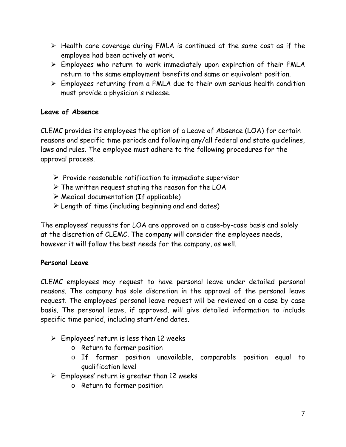- $\triangleright$  Health care coverage during FMLA is continued at the same cost as if the employee had been actively at work.
- $\triangleright$  Employees who return to work immediately upon expiration of their FMLA return to the same employment benefits and same or equivalent position.
- Employees returning from a FMLA due to their own serious health condition must provide a physician's release.

#### **Leave of Absence**

CLEMC provides its employees the option of a Leave of Absence (LOA) for certain reasons and specific time periods and following any/all federal and state guidelines, laws and rules. The employee must adhere to the following procedures for the approval process.

- $\triangleright$  Provide reasonable notification to immediate supervisor
- $\triangleright$  The written request stating the reason for the LOA
- $\triangleright$  Medical documentation (If applicable)
- $\triangleright$  Length of time (including beginning and end dates)

The employees' requests for LOA are approved on a case-by-case basis and solely at the discretion of CLEMC. The company will consider the employees needs, however it will follow the best needs for the company, as well.

### **Personal Leave**

CLEMC employees may request to have personal leave under detailed personal reasons. The company has sole discretion in the approval of the personal leave request. The employees' personal leave request will be reviewed on a case-by-case basis. The personal leave, if approved, will give detailed information to include specific time period, including start/end dates.

- $\triangleright$  Employees' return is less than 12 weeks
	- o Return to former position
	- o If former position unavailable, comparable position equal to qualification level
- $\triangleright$  Employees' return is greater than 12 weeks
	- o Return to former position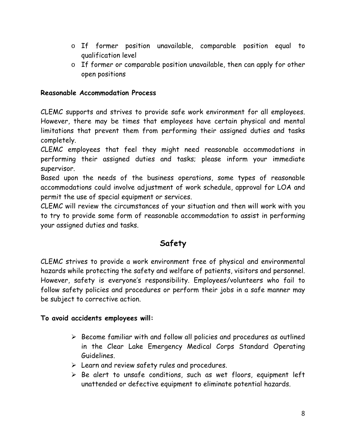- o If former position unavailable, comparable position equal to qualification level
- o If former or comparable position unavailable, then can apply for other open positions

#### **Reasonable Accommodation Process**

CLEMC supports and strives to provide safe work environment for all employees. However, there may be times that employees have certain physical and mental limitations that prevent them from performing their assigned duties and tasks completely.

CLEMC employees that feel they might need reasonable accommodations in performing their assigned duties and tasks; please inform your immediate supervisor.

Based upon the needs of the business operations, some types of reasonable accommodations could involve adjustment of work schedule, approval for LOA and permit the use of special equipment or services.

CLEMC will review the circumstances of your situation and then will work with you to try to provide some form of reasonable accommodation to assist in performing your assigned duties and tasks.

# **Safety**

CLEMC strives to provide a work environment free of physical and environmental hazards while protecting the safety and welfare of patients, visitors and personnel. However, safety is everyone's responsibility. Employees/volunteers who fail to follow safety policies and procedures or perform their jobs in a safe manner may be subject to corrective action.

#### **To avoid accidents employees will:**

- $\triangleright$  Become familiar with and follow all policies and procedures as outlined in the Clear Lake Emergency Medical Corps Standard Operating Guidelines.
- Learn and review safety rules and procedures.
- $\triangleright$  Be alert to unsafe conditions, such as wet floors, equipment left unattended or defective equipment to eliminate potential hazards.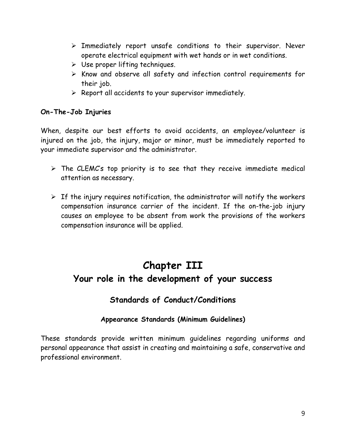- $\triangleright$  Immediately report unsafe conditions to their supervisor. Never operate electrical equipment with wet hands or in wet conditions.
- $\triangleright$  Use proper lifting techniques.
- $\triangleright$  Know and observe all safety and infection control requirements for their job.
- $\triangleright$  Report all accidents to your supervisor immediately.

#### **On-The-Job Injuries**

When, despite our best efforts to avoid accidents, an employee/volunteer is injured on the job, the injury, major or minor, must be immediately reported to your immediate supervisor and the administrator.

- $\triangleright$  The CLEMC's top priority is to see that they receive immediate medical attention as necessary.
- $\triangleright$  If the injury requires notification, the administrator will notify the workers compensation insurance carrier of the incident. If the on-the-job injury causes an employee to be absent from work the provisions of the workers compensation insurance will be applied.

# **Chapter III Your role in the development of your success**

# **Standards of Conduct/Conditions**

### **Appearance Standards (Minimum Guidelines)**

These standards provide written minimum guidelines regarding uniforms and personal appearance that assist in creating and maintaining a safe, conservative and professional environment.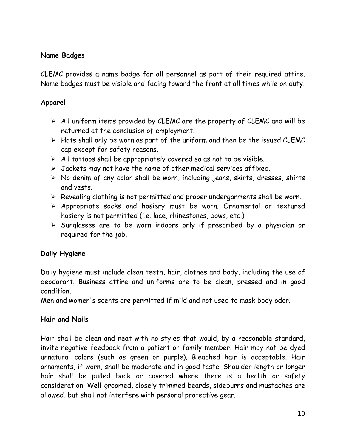#### **Name Badges**

CLEMC provides a name badge for all personnel as part of their required attire. Name badges must be visible and facing toward the front at all times while on duty.

#### **Apparel**

- $\triangleright$  All uniform items provided by CLEMC are the property of CLEMC and will be returned at the conclusion of employment.
- $\triangleright$  Hats shall only be worn as part of the uniform and then be the issued CLEMC cap except for safety reasons.
- $\triangleright$  All tattoos shall be appropriately covered so as not to be visible.
- $\triangleright$  Jackets may not have the name of other medical services affixed.
- $\triangleright$  No denim of any color shall be worn, including jeans, skirts, dresses, shirts and vests.
- $\triangleright$  Revealing clothing is not permitted and proper undergarments shall be worn.
- Appropriate socks and hosiery must be worn. Ornamental or textured hosiery is not permitted (i.e. lace, rhinestones, bows, etc.)
- $\triangleright$  Sunglasses are to be worn indoors only if prescribed by a physician or required for the job.

#### **Daily Hygiene**

Daily hygiene must include clean teeth, hair, clothes and body, including the use of deodorant. Business attire and uniforms are to be clean, pressed and in good condition.

Men and women's scents are permitted if mild and not used to mask body odor.

### **Hair and Nails**

Hair shall be clean and neat with no styles that would, by a reasonable standard, invite negative feedback from a patient or family member. Hair may not be dyed unnatural colors (such as green or purple). Bleached hair is acceptable. Hair ornaments, if worn, shall be moderate and in good taste. Shoulder length or longer hair shall be pulled back or covered where there is a health or safety consideration. Well-groomed, closely trimmed beards, sideburns and mustaches are allowed, but shall not interfere with personal protective gear.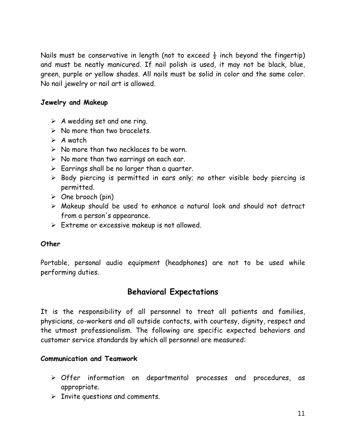Nails must be conservative in length (not to exceed  $\frac{1}{2}$  inch beyond the fingertip) and must be neatly manicured. If nail polish is used, it may not be black, blue, green, purple or yellow shades. All nails must be solid in color and the same color. No nail jewelry or nail art is allowed.

#### **Jewelry and Makeup**

- $\triangleright$  A wedding set and one ring.
- $\triangleright$  No more than two bracelets.
- $\triangleright$  A watch
- $\triangleright$  No more than two necklaces to be worn.
- $\triangleright$  No more than two earrings on each ear.
- $\triangleright$  Earrings shall be no larger than a quarter.
- $\triangleright$  Body piercing is permitted in ears only; no other visible body piercing is permitted.
- $\triangleright$  One brooch (pin)
- Makeup should be used to enhance a natural look and should not detract from a person's appearance.
- $\triangleright$  Extreme or excessive makeup is not allowed.

#### **Other**

Portable, personal audio equipment (headphones) are not to be used while performing duties.

# **Behavioral Expectations**

It is the responsibility of all personnel to treat all patients and families, physicians, co-workers and all outside contacts, with courtesy, dignity, respect and the utmost professionalism. The following are specific expected behaviors and customer service standards by which all personnel are measured:

#### **Communication and Teamwork**

- Offer information on departmental processes and procedures, as appropriate.
- $\triangleright$  Invite questions and comments.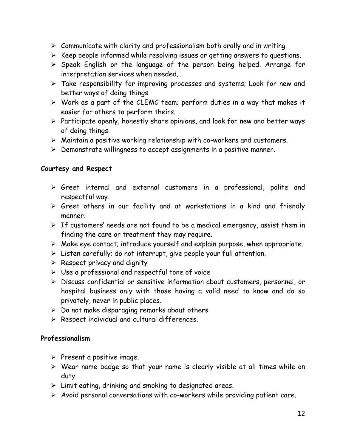- $\triangleright$  Communicate with clarity and professionalism both orally and in writing.
- $\triangleright$  Keep people informed while resolving issues or getting answers to questions.
- $\triangleright$  Speak English or the language of the person being helped. Arrange for interpretation services when needed.
- Take responsibility for improving processes and systems; Look for new and better ways of doing things.
- Work as a part of the CLEMC team; perform duties in a way that makes it easier for others to perform theirs.
- $\triangleright$  Participate openly, honestly share opinions, and look for new and better ways of doing things.
- Maintain a positive working relationship with co-workers and customers.
- $\triangleright$  Demonstrate willingness to accept assignments in a positive manner.

#### **Courtesy and Respect**

- Greet internal and external customers in a professional, polite and respectful way.
- $\triangleright$  Greet others in our facility and at workstations in a kind and friendly manner.
- $\triangleright$  If customers' needs are not found to be a medical emergency, assist them in finding the care or treatment they may require.
- $\triangleright$  Make eye contact; introduce yourself and explain purpose, when appropriate.
- $\triangleright$  Listen carefully; do not interrupt, give people your full attention.
- $\triangleright$  Respect privacy and dignity
- $\triangleright$  Use a professional and respectful tone of voice
- Discuss confidential or sensitive information about customers, personnel, or hospital business only with those having a valid need to know and do so privately, never in public places.
- $\triangleright$  Do not make disparaging remarks about others
- $\triangleright$  Respect individual and cultural differences.

### **Professionalism**

- $\triangleright$  Present a positive image.
- $\triangleright$  Wear name badge so that your name is clearly visible at all times while on duty.
- $\triangleright$  Limit eating, drinking and smoking to designated areas.
- $\triangleright$  Avoid personal conversations with co-workers while providing patient care.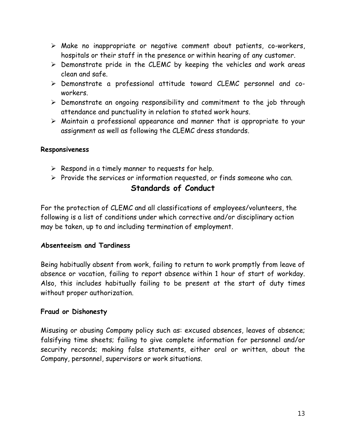- Make no inappropriate or negative comment about patients, co-workers, hospitals or their staff in the presence or within hearing of any customer.
- $\triangleright$  Demonstrate pride in the CLEMC by keeping the vehicles and work areas clean and safe.
- Demonstrate a professional attitude toward CLEMC personnel and coworkers.
- $\triangleright$  Demonstrate an ongoing responsibility and commitment to the job through attendance and punctuality in relation to stated work hours.
- Maintain a professional appearance and manner that is appropriate to your assignment as well as following the CLEMC dress standards.

#### **Responsiveness**

- $\triangleright$  Respond in a timely manner to requests for help.
- $\triangleright$  Provide the services or information requested, or finds someone who can. **Standards of Conduct**

For the protection of CLEMC and all classifications of employees/volunteers, the following is a list of conditions under which corrective and/or disciplinary action may be taken, up to and including termination of employment.

#### **Absenteeism and Tardiness**

Being habitually absent from work, failing to return to work promptly from leave of absence or vacation, failing to report absence within 1 hour of start of workday. Also, this includes habitually failing to be present at the start of duty times without proper authorization.

#### **Fraud or Dishonesty**

Misusing or abusing Company policy such as: excused absences, leaves of absence; falsifying time sheets; failing to give complete information for personnel and/or security records; making false statements, either oral or written, about the Company, personnel, supervisors or work situations.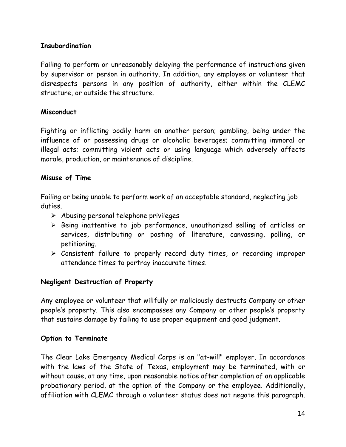#### **Insubordination**

Failing to perform or unreasonably delaying the performance of instructions given by supervisor or person in authority. In addition, any employee or volunteer that disrespects persons in any position of authority, either within the CLEMC structure, or outside the structure.

#### **Misconduct**

Fighting or inflicting bodily harm on another person; gambling, being under the influence of or possessing drugs or alcoholic beverages; committing immoral or illegal acts; committing violent acts or using language which adversely affects morale, production, or maintenance of discipline.

#### **Misuse of Time**

Failing or being unable to perform work of an acceptable standard, neglecting job duties.

- $\triangleright$  Abusing personal telephone privileges
- $\triangleright$  Being inattentive to job performance, unauthorized selling of articles or services, distributing or posting of literature, canvassing, polling, or petitioning.
- Consistent failure to properly record duty times, or recording improper attendance times to portray inaccurate times.

#### **Negligent Destruction of Property**

Any employee or volunteer that willfully or maliciously destructs Company or other people's property. This also encompasses any Company or other people's property that sustains damage by failing to use proper equipment and good judgment.

#### **Option to Terminate**

The Clear Lake Emergency Medical Corps is an "at-will" employer. In accordance with the laws of the State of Texas, employment may be terminated, with or without cause, at any time, upon reasonable notice after completion of an applicable probationary period, at the option of the Company or the employee. Additionally, affiliation with CLEMC through a volunteer status does not negate this paragraph.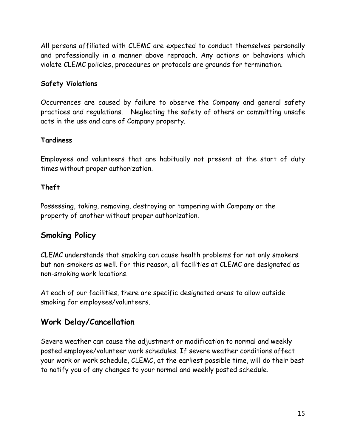All persons affiliated with CLEMC are expected to conduct themselves personally and professionally in a manner above reproach. Any actions or behaviors which violate CLEMC policies, procedures or protocols are grounds for termination.

#### **Safety Violations**

Occurrences are caused by failure to observe the Company and general safety practices and regulations. Neglecting the safety of others or committing unsafe acts in the use and care of Company property.

#### **Tardiness**

Employees and volunteers that are habitually not present at the start of duty times without proper authorization.

#### **Theft**

Possessing, taking, removing, destroying or tampering with Company or the property of another without proper authorization.

# **Smoking Policy**

CLEMC understands that smoking can cause health problems for not only smokers but non-smokers as well. For this reason, all facilities at CLEMC are designated as non-smoking work locations.

At each of our facilities, there are specific designated areas to allow outside smoking for employees/volunteers.

# **Work Delay/Cancellation**

Severe weather can cause the adjustment or modification to normal and weekly posted employee/volunteer work schedules. If severe weather conditions affect your work or work schedule, CLEMC, at the earliest possible time, will do their best to notify you of any changes to your normal and weekly posted schedule.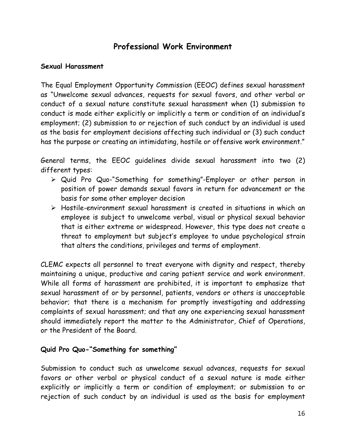# **Professional Work Environment**

#### **Sexual Harassment**

The Equal Employment Opportunity Commission (EEOC) defines sexual harassment as "Unwelcome sexual advances, requests for sexual favors, and other verbal or conduct of a sexual nature constitute sexual harassment when (1) submission to conduct is made either explicitly or implicitly a term or condition of an individual's employment; (2) submission to or rejection of such conduct by an individual is used as the basis for employment decisions affecting such individual or (3) such conduct has the purpose or creating an intimidating, hostile or offensive work environment."

General terms, the EEOC guidelines divide sexual harassment into two (2) different types:

- Quid Pro Quo-"Something for something"-Employer or other person in position of power demands sexual favors in return for advancement or the basis for some other employer decision
- Hostile-environment sexual harassment is created in situations in which an employee is subject to unwelcome verbal, visual or physical sexual behavior that is either extreme or widespread. However, this type does not create a threat to employment but subject's employee to undue psychological strain that alters the conditions, privileges and terms of employment.

CLEMC expects all personnel to treat everyone with dignity and respect, thereby maintaining a unique, productive and caring patient service and work environment. While all forms of harassment are prohibited, it is important to emphasize that sexual harassment of or by personnel, patients, vendors or others is unacceptable behavior; that there is a mechanism for promptly investigating and addressing complaints of sexual harassment; and that any one experiencing sexual harassment should immediately report the matter to the Administrator, Chief of Operations, or the President of the Board.

#### **Quid Pro Quo-"Something for something"**

Submission to conduct such as unwelcome sexual advances, requests for sexual favors or other verbal or physical conduct of a sexual nature is made either explicitly or implicitly a term or condition of employment; or submission to or rejection of such conduct by an individual is used as the basis for employment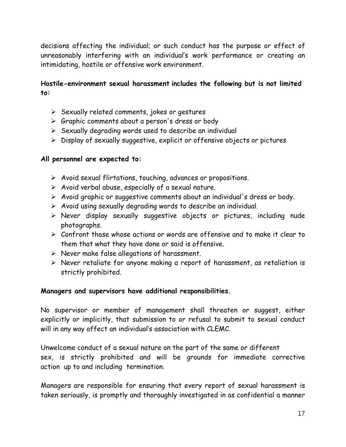decisions affecting the individual; or such conduct has the purpose or effect of unreasonably interfering with an individual's work performance or creating an intimidating, hostile or offensive work environment.

#### **Hostile-environment sexual harassment includes the following but is not limited to:**

- $\triangleright$  Sexually related comments, jokes or gestures
- $\triangleright$  Graphic comments about a person's dress or body
- $\triangleright$  Sexually degrading words used to describe an individual
- $\triangleright$  Display of sexually suggestive, explicit or offensive objects or pictures

#### **All personnel are expected to:**

- $\triangleright$  Avoid sexual flirtations, touching, advances or propositions.
- $\triangleright$  Avoid verbal abuse, especially of a sexual nature.
- $\triangleright$  Avoid graphic or suggestive comments about an individual's dress or body.
- $\triangleright$  Avoid using sexually degrading words to describe an individual.
- $\triangleright$  Never display sexually suggestive objects or pictures, including nude photographs.
- Confront those whose actions or words are offensive and to make it clear to them that what they have done or said is offensive.
- $\triangleright$  Never make false allegations of harassment.
- $\triangleright$  Never retaliate for anyone making a report of harassment, as retaliation is strictly prohibited.

#### **Managers and supervisors have additional responsibilities.**

No supervisor or member of management shall threaten or suggest, either explicitly or implicitly, that submission to or refusal to submit to sexual conduct will in any way affect an individual's association with CLEMC.

Unwelcome conduct of a sexual nature on the part of the same or different sex, is strictly prohibited and will be grounds for immediate corrective action up to and including termination.

Managers are responsible for ensuring that every report of sexual harassment is taken seriously, is promptly and thoroughly investigated in as confidential a manner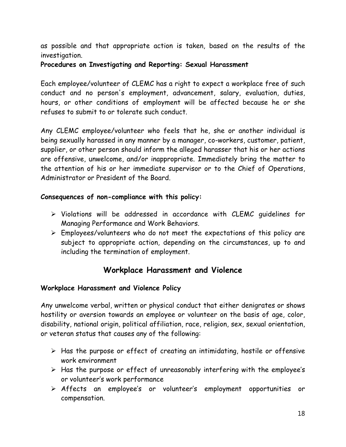as possible and that appropriate action is taken, based on the results of the investigation.

**Procedures on Investigating and Reporting: Sexual Harassment** 

Each employee/volunteer of CLEMC has a right to expect a workplace free of such conduct and no person's employment, advancement, salary, evaluation, duties, hours, or other conditions of employment will be affected because he or she refuses to submit to or tolerate such conduct.

Any CLEMC employee/volunteer who feels that he, she or another individual is being sexually harassed in any manner by a manager, co-workers, customer, patient, supplier, or other person should inform the alleged harasser that his or her actions are offensive, unwelcome, and/or inappropriate. Immediately bring the matter to the attention of his or her immediate supervisor or to the Chief of Operations, Administrator or President of the Board.

#### **Consequences of non-compliance with this policy:**

- $\triangleright$  Violations will be addressed in accordance with CLEMC quidelines for Managing Performance and Work Behaviors.
- $\triangleright$  Employees/volunteers who do not meet the expectations of this policy are subject to appropriate action, depending on the circumstances, up to and including the termination of employment.

# **Workplace Harassment and Violence**

#### **Workplace Harassment and Violence Policy**

Any unwelcome verbal, written or physical conduct that either denigrates or shows hostility or aversion towards an employee or volunteer on the basis of age, color, disability, national origin, political affiliation, race, religion, sex, sexual orientation, or veteran status that causes any of the following:

- $\triangleright$  Has the purpose or effect of creating an intimidating, hostile or offensive work environment
- $\triangleright$  Has the purpose or effect of unreasonably interfering with the employee's or volunteer's work performance
- Affects an employee's or volunteer's employment opportunities or compensation.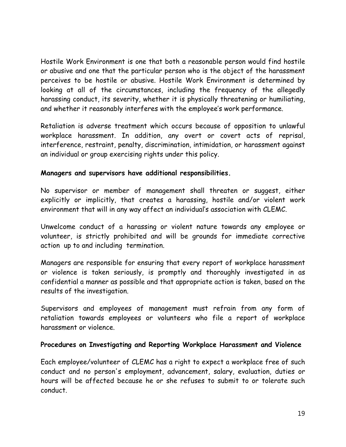Hostile Work Environment is one that both a reasonable person would find hostile or abusive and one that the particular person who is the object of the harassment perceives to be hostile or abusive. Hostile Work Environment is determined by looking at all of the circumstances, including the frequency of the allegedly harassing conduct, its severity, whether it is physically threatening or humiliating, and whether it reasonably interferes with the employee's work performance.

Retaliation is adverse treatment which occurs because of opposition to unlawful workplace harassment. In addition, any overt or covert acts of reprisal, interference, restraint, penalty, discrimination, intimidation, or harassment against an individual or group exercising rights under this policy.

#### **Managers and supervisors have additional responsibilities.**

No supervisor or member of management shall threaten or suggest, either explicitly or implicitly, that creates a harassing, hostile and/or violent work environment that will in any way affect an individual's association with CLEMC.

Unwelcome conduct of a harassing or violent nature towards any employee or volunteer, is strictly prohibited and will be grounds for immediate corrective action up to and including termination.

Managers are responsible for ensuring that every report of workplace harassment or violence is taken seriously, is promptly and thoroughly investigated in as confidential a manner as possible and that appropriate action is taken, based on the results of the investigation.

Supervisors and employees of management must refrain from any form of retaliation towards employees or volunteers who file a report of workplace harassment or violence.

#### **Procedures on Investigating and Reporting Workplace Harassment and Violence**

Each employee/volunteer of CLEMC has a right to expect a workplace free of such conduct and no person's employment, advancement, salary, evaluation, duties or hours will be affected because he or she refuses to submit to or tolerate such conduct.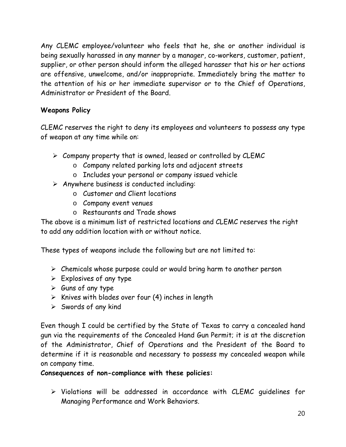Any CLEMC employee/volunteer who feels that he, she or another individual is being sexually harassed in any manner by a manager, co-workers, customer, patient, supplier, or other person should inform the alleged harasser that his or her actions are offensive, unwelcome, and/or inappropriate. Immediately bring the matter to the attention of his or her immediate supervisor or to the Chief of Operations, Administrator or President of the Board.

### **Weapons Policy**

CLEMC reserves the right to deny its employees and volunteers to possess any type of weapon at any time while on:

- $\triangleright$  Company property that is owned, leased or controlled by CLEMC
	- o Company related parking lots and adjacent streets
	- o Includes your personal or company issued vehicle
- $\triangleright$  Anywhere business is conducted including:
	- o Customer and Client locations
	- o Company event venues
	- o Restaurants and Trade shows

The above is a minimum list of restricted locations and CLEMC reserves the right to add any addition location with or without notice.

These types of weapons include the following but are not limited to:

- $\triangleright$  Chemicals whose purpose could or would bring harm to another person
- $\triangleright$  Explosives of any type
- $\triangleright$  Guns of any type
- $\triangleright$  Knives with blades over four (4) inches in length
- $\triangleright$  Swords of any kind

Even though I could be certified by the State of Texas to carry a concealed hand gun via the requirements of the Concealed Hand Gun Permit; it is at the discretion of the Administrator, Chief of Operations and the President of the Board to determine if it is reasonable and necessary to possess my concealed weapon while on company time.

**Consequences of non-compliance with these policies:** 

 $\triangleright$  Violations will be addressed in accordance with CLEMC quidelines for Managing Performance and Work Behaviors.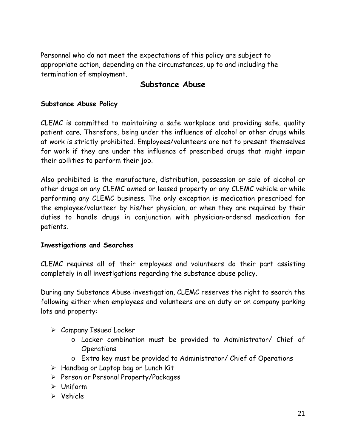Personnel who do not meet the expectations of this policy are subject to appropriate action, depending on the circumstances, up to and including the termination of employment.

### **Substance Abuse**

#### **Substance Abuse Policy**

CLEMC is committed to maintaining a safe workplace and providing safe, quality patient care. Therefore, being under the influence of alcohol or other drugs while at work is strictly prohibited. Employees/volunteers are not to present themselves for work if they are under the influence of prescribed drugs that might impair their abilities to perform their job.

Also prohibited is the manufacture, distribution, possession or sale of alcohol or other drugs on any CLEMC owned or leased property or any CLEMC vehicle or while performing any CLEMC business. The only exception is medication prescribed for the employee/volunteer by his/her physician, or when they are required by their duties to handle drugs in conjunction with physician-ordered medication for patients.

#### **Investigations and Searches**

CLEMC requires all of their employees and volunteers do their part assisting completely in all investigations regarding the substance abuse policy.

During any Substance Abuse investigation, CLEMC reserves the right to search the following either when employees and volunteers are on duty or on company parking lots and property:

- $\triangleright$  Company Issued Locker
	- o Locker combination must be provided to Administrator/ Chief of **Operations**
	- o Extra key must be provided to Administrator/ Chief of Operations
- $\triangleright$  Handbag or Laptop bag or Lunch Kit
- Person or Personal Property/Packages
- Uniform
- $\triangleright$  Vehicle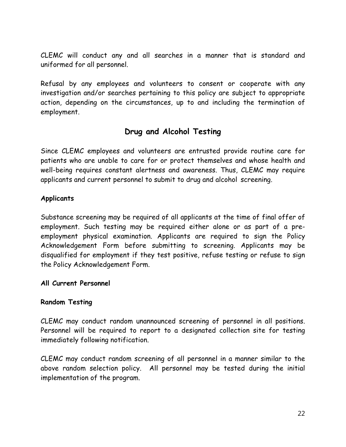CLEMC will conduct any and all searches in a manner that is standard and uniformed for all personnel.

Refusal by any employees and volunteers to consent or cooperate with any investigation and/or searches pertaining to this policy are subject to appropriate action, depending on the circumstances, up to and including the termination of employment.

# **Drug and Alcohol Testing**

Since CLEMC employees and volunteers are entrusted provide routine care for patients who are unable to care for or protect themselves and whose health and well-being requires constant alertness and awareness. Thus, CLEMC may require applicants and current personnel to submit to drug and alcohol screening.

#### **Applicants**

Substance screening may be required of all applicants at the time of final offer of employment. Such testing may be required either alone or as part of a preemployment physical examination. Applicants are required to sign the Policy Acknowledgement Form before submitting to screening. Applicants may be disqualified for employment if they test positive, refuse testing or refuse to sign the Policy Acknowledgement Form.

#### **All Current Personnel**

#### **Random Testing**

CLEMC may conduct random unannounced screening of personnel in all positions. Personnel will be required to report to a designated collection site for testing immediately following notification.

CLEMC may conduct random screening of all personnel in a manner similar to the above random selection policy. All personnel may be tested during the initial implementation of the program.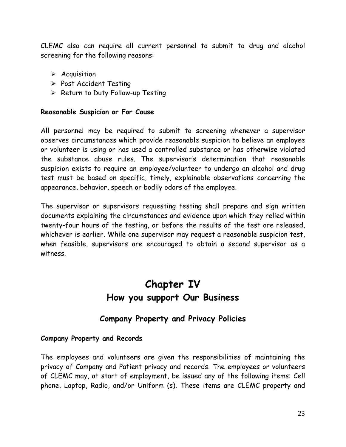CLEMC also can require all current personnel to submit to drug and alcohol screening for the following reasons:

- $\triangleright$  Acquisition
- $\triangleright$  Post Accident Testing
- $\triangleright$  Return to Duty Follow-up Testing

#### **Reasonable Suspicion or For Cause**

All personnel may be required to submit to screening whenever a supervisor observes circumstances which provide reasonable suspicion to believe an employee or volunteer is using or has used a controlled substance or has otherwise violated the substance abuse rules. The supervisor's determination that reasonable suspicion exists to require an employee/volunteer to undergo an alcohol and drug test must be based on specific, timely, explainable observations concerning the appearance, behavior, speech or bodily odors of the employee.

The supervisor or supervisors requesting testing shall prepare and sign written documents explaining the circumstances and evidence upon which they relied within twenty-four hours of the testing, or before the results of the test are released, whichever is earlier. While one supervisor may request a reasonable suspicion test, when feasible, supervisors are encouraged to obtain a second supervisor as a witness.

# **Chapter IV How you support Our Business**

# **Company Property and Privacy Policies**

#### **Company Property and Records**

The employees and volunteers are given the responsibilities of maintaining the privacy of Company and Patient privacy and records. The employees or volunteers of CLEMC may, at start of employment, be issued any of the following items: Cell phone, Laptop, Radio, and/or Uniform (s). These items are CLEMC property and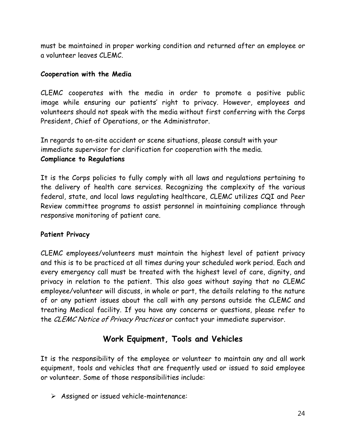must be maintained in proper working condition and returned after an employee or a volunteer leaves CLEMC.

#### **Cooperation with the Media**

CLEMC cooperates with the media in order to promote a positive public image while ensuring our patients' right to privacy. However, employees and volunteers should not speak with the media without first conferring with the Corps President, Chief of Operations, or the Administrator.

In regards to on-site accident or scene situations, please consult with your immediate supervisor for clarification for cooperation with the media. **Compliance to Regulations** 

It is the Corps policies to fully comply with all laws and regulations pertaining to the delivery of health care services. Recognizing the complexity of the various federal, state, and local laws regulating healthcare, CLEMC utilizes CQI and Peer Review committee programs to assist personnel in maintaining compliance through responsive monitoring of patient care.

#### **Patient Privacy**

CLEMC employees/volunteers must maintain the highest level of patient privacy and this is to be practiced at all times during your scheduled work period. Each and every emergency call must be treated with the highest level of care, dignity, and privacy in relation to the patient. This also goes without saying that no CLEMC employee/volunteer will discuss, in whole or part, the details relating to the nature of or any patient issues about the call with any persons outside the CLEMC and treating Medical facility. If you have any concerns or questions, please refer to the CLEMC Notice of Privacy Practices or contact your immediate supervisor.

# **Work Equipment, Tools and Vehicles**

It is the responsibility of the employee or volunteer to maintain any and all work equipment, tools and vehicles that are frequently used or issued to said employee or volunteer. Some of those responsibilities include:

Assigned or issued vehicle-maintenance: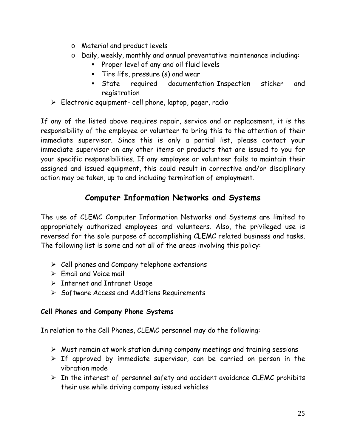- o Material and product levels
- o Daily, weekly, monthly and annual preventative maintenance including:
	- **Proper level of any and oil fluid levels**
	- Tire life, pressure (s) and wear
	- State required documentation-Inspection sticker and registration
- $\triangleright$  Electronic equipment- cell phone, laptop, pager, radio

If any of the listed above requires repair, service and or replacement, it is the responsibility of the employee or volunteer to bring this to the attention of their immediate supervisor. Since this is only a partial list, please contact your immediate supervisor on any other items or products that are issued to you for your specific responsibilities. If any employee or volunteer fails to maintain their assigned and issued equipment, this could result in corrective and/or disciplinary action may be taken, up to and including termination of employment.

# **Computer Information Networks and Systems**

The use of CLEMC Computer Information Networks and Systems are limited to appropriately authorized employees and volunteers. Also, the privileged use is reversed for the sole purpose of accomplishing CLEMC related business and tasks. The following list is some and not all of the areas involving this policy:

- $\triangleright$  Cell phones and Company telephone extensions
- $\triangleright$  Email and Voice mail
- $\triangleright$  Internet and Intranet Usage
- $\triangleright$  Software Access and Additions Requirements

#### **Cell Phones and Company Phone Systems**

In relation to the Cell Phones, CLEMC personnel may do the following:

- $\triangleright$  Must remain at work station during company meetings and training sessions
- $\triangleright$  If approved by immediate supervisor, can be carried on person in the vibration mode
- $\triangleright$  In the interest of personnel safety and accident avoidance CLEMC prohibits their use while driving company issued vehicles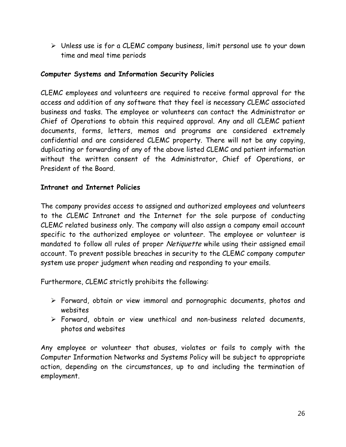Unless use is for a CLEMC company business, limit personal use to your down time and meal time periods

#### **Computer Systems and Information Security Policies**

CLEMC employees and volunteers are required to receive formal approval for the access and addition of any software that they feel is necessary CLEMC associated business and tasks. The employee or volunteers can contact the Administrator or Chief of Operations to obtain this required approval. Any and all CLEMC patient documents, forms, letters, memos and programs are considered extremely confidential and are considered CLEMC property. There will not be any copying, duplicating or forwarding of any of the above listed CLEMC and patient information without the written consent of the Administrator, Chief of Operations, or President of the Board.

#### **Intranet and Internet Policies**

The company provides access to assigned and authorized employees and volunteers to the CLEMC Intranet and the Internet for the sole purpose of conducting CLEMC related business only. The company will also assign a company email account specific to the authorized employee or volunteer. The employee or volunteer is mandated to follow all rules of proper Netiquette while using their assigned email account. To prevent possible breaches in security to the CLEMC company computer system use proper judgment when reading and responding to your emails.

Furthermore, CLEMC strictly prohibits the following:

- Forward, obtain or view immoral and pornographic documents, photos and websites
- Forward, obtain or view unethical and non-business related documents, photos and websites

Any employee or volunteer that abuses, violates or fails to comply with the Computer Information Networks and Systems Policy will be subject to appropriate action, depending on the circumstances, up to and including the termination of employment.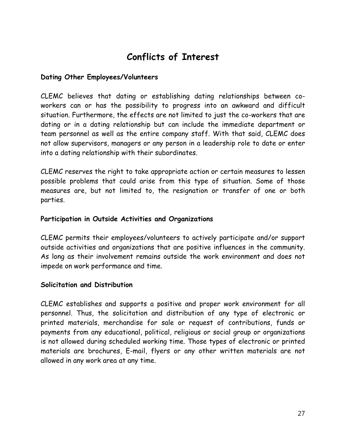# **Conflicts of Interest**

#### **Dating Other Employees/Volunteers**

CLEMC believes that dating or establishing dating relationships between coworkers can or has the possibility to progress into an awkward and difficult situation. Furthermore, the effects are not limited to just the co-workers that are dating or in a dating relationship but can include the immediate department or team personnel as well as the entire company staff. With that said, CLEMC does not allow supervisors, managers or any person in a leadership role to date or enter into a dating relationship with their subordinates.

CLEMC reserves the right to take appropriate action or certain measures to lessen possible problems that could arise from this type of situation. Some of those measures are, but not limited to, the resignation or transfer of one or both parties.

#### **Participation in Outside Activities and Organizations**

CLEMC permits their employees/volunteers to actively participate and/or support outside activities and organizations that are positive influences in the community. As long as their involvement remains outside the work environment and does not impede on work performance and time.

#### **Solicitation and Distribution**

CLEMC establishes and supports a positive and proper work environment for all personnel. Thus, the solicitation and distribution of any type of electronic or printed materials, merchandise for sale or request of contributions, funds or payments from any educational, political, religious or social group or organizations is not allowed during scheduled working time. Those types of electronic or printed materials are brochures, E-mail, flyers or any other written materials are not allowed in any work area at any time.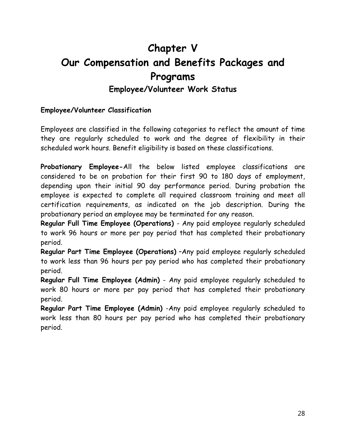# **Chapter V Our Compensation and Benefits Packages and Programs**

# **Employee/Volunteer Work Status**

#### **Employee/Volunteer Classification**

Employees are classified in the following categories to reflect the amount of time they are regularly scheduled to work and the degree of flexibility in their scheduled work hours. Benefit eligibility is based on these classifications.

**Probationary Employee-**All the below listed employee classifications are considered to be on probation for their first 90 to 180 days of employment, depending upon their initial 90 day performance period. During probation the employee is expected to complete all required classroom training and meet all certification requirements, as indicated on the job description. During the probationary period an employee may be terminated for any reason.

**Regular Full Time Employee (Operations)** - Any paid employee regularly scheduled to work 96 hours or more per pay period that has completed their probationary period.

**Regular Part Time Employee (Operations)** –Any paid employee regularly scheduled to work less than 96 hours per pay period who has completed their probationary period.

**Regular Full Time Employee (Admin)** - Any paid employee regularly scheduled to work 80 hours or more per pay period that has completed their probationary period.

**Regular Part Time Employee (Admin)** -Any paid employee regularly scheduled to work less than 80 hours per pay period who has completed their probationary period.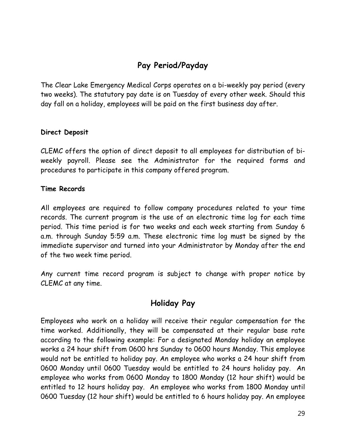# **Pay Period/Payday**

The Clear Lake Emergency Medical Corps operates on a bi-weekly pay period (every two weeks). The statutory pay date is on Tuesday of every other week. Should this day fall on a holiday, employees will be paid on the first business day after.

#### **Direct Deposit**

CLEMC offers the option of direct deposit to all employees for distribution of biweekly payroll. Please see the Administrator for the required forms and procedures to participate in this company offered program.

#### **Time Records**

All employees are required to follow company procedures related to your time records. The current program is the use of an electronic time log for each time period. This time period is for two weeks and each week starting from Sunday 6 a.m. through Sunday 5:59 a.m. These electronic time log must be signed by the immediate supervisor and turned into your Administrator by Monday after the end of the two week time period.

Any current time record program is subject to change with proper notice by CLEMC at any time.

### **Holiday Pay**

Employees who work on a holiday will receive their regular compensation for the time worked. Additionally, they will be compensated at their regular base rate according to the following example: For a designated Monday holiday an employee works a 24 hour shift from 0600 hrs Sunday to 0600 hours Monday. This employee would not be entitled to holiday pay. An employee who works a 24 hour shift from 0600 Monday until 0600 Tuesday would be entitled to 24 hours holiday pay. An employee who works from 0600 Monday to 1800 Monday (12 hour shift) would be entitled to 12 hours holiday pay. An employee who works from 1800 Monday until 0600 Tuesday (12 hour shift) would be entitled to 6 hours holiday pay. An employee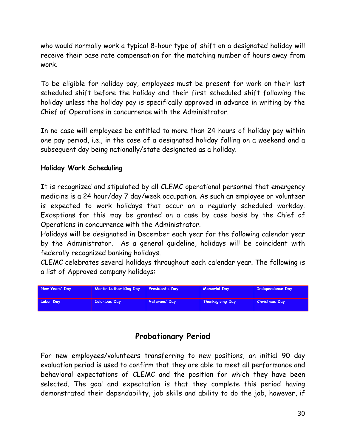who would normally work a typical 8-hour type of shift on a designated holiday will receive their base rate compensation for the matching number of hours away from work.

To be eligible for holiday pay, employees must be present for work on their last scheduled shift before the holiday and their first scheduled shift following the holiday unless the holiday pay is specifically approved in advance in writing by the Chief of Operations in concurrence with the Administrator.

In no case will employees be entitled to more than 24 hours of holiday pay within one pay period, i.e., in the case of a designated holiday falling on a weekend and a subsequent day being nationally/state designated as a holiday.

#### **Holiday Work Scheduling**

It is recognized and stipulated by all CLEMC operational personnel that emergency medicine is a 24 hour/day 7 day/week occupation. As such an employee or volunteer is expected to work holidays that occur on a regularly scheduled workday. Exceptions for this may be granted on a case by case basis by the Chief of Operations in concurrence with the Administrator.

Holidays will be designated in December each year for the following calendar year by the Administrator. As a general guideline, holidays will be coincident with federally recognized banking holidays.

CLEMC celebrates several holidays throughout each calendar year. The following is a list of Approved company holidays:

| New Years' Day | Martin Luther King Day | President's Day | <b>Memorial Day</b>     | <b>Independence Day</b> |
|----------------|------------------------|-----------------|-------------------------|-------------------------|
| Labor Day      | Columbus Day           | Veterans' Day   | <b>Thanksgiving Day</b> | <b>Christmas Day</b>    |

# **Probationary Period**

For new employees/volunteers transferring to new positions, an initial 90 day evaluation period is used to confirm that they are able to meet all performance and behavioral expectations of CLEMC and the position for which they have been selected. The goal and expectation is that they complete this period having demonstrated their dependability, job skills and ability to do the job, however, if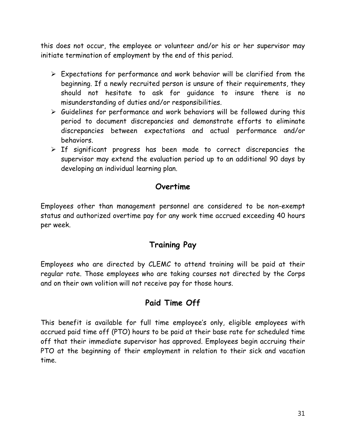this does not occur, the employee or volunteer and/or his or her supervisor may initiate termination of employment by the end of this period.

- $\triangleright$  Expectations for performance and work behavior will be clarified from the beginning. If a newly recruited person is unsure of their requirements, they should not hesitate to ask for guidance to insure there is no misunderstanding of duties and/or responsibilities.
- $\triangleright$  Guidelines for performance and work behaviors will be followed during this period to document discrepancies and demonstrate efforts to eliminate discrepancies between expectations and actual performance and/or behaviors.
- $\triangleright$  If significant progress has been made to correct discrepancies the supervisor may extend the evaluation period up to an additional 90 days by developing an individual learning plan.

## **Overtime**

Employees other than management personnel are considered to be non-exempt status and authorized overtime pay for any work time accrued exceeding 40 hours per week.

# **Training Pay**

Employees who are directed by CLEMC to attend training will be paid at their regular rate. Those employees who are taking courses not directed by the Corps and on their own volition will not receive pay for those hours.

# **Paid Time Off**

This benefit is available for full time employee's only, eligible employees with accrued paid time off (PTO) hours to be paid at their base rate for scheduled time off that their immediate supervisor has approved. Employees begin accruing their PTO at the beginning of their employment in relation to their sick and vacation time.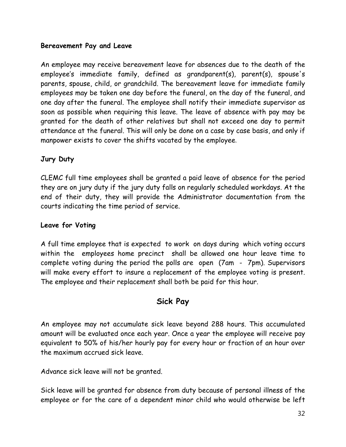#### **Bereavement Pay and Leave**

An employee may receive bereavement leave for absences due to the death of the employee's immediate family, defined as grandparent(s), parent(s), spouse's parents, spouse, child, or grandchild. The bereavement leave for immediate family employees may be taken one day before the funeral, on the day of the funeral, and one day after the funeral. The employee shall notify their immediate supervisor as soon as possible when requiring this leave. The leave of absence with pay may be granted for the death of other relatives but shall not exceed one day to permit attendance at the funeral. This will only be done on a case by case basis, and only if manpower exists to cover the shifts vacated by the employee.

#### **Jury Duty**

CLEMC full time employees shall be granted a paid leave of absence for the period they are on jury duty if the jury duty falls on regularly scheduled workdays. At the end of their duty, they will provide the Administrator documentation from the courts indicating the time period of service.

#### **Leave for Voting**

A full time employee that is expected to work on days during which voting occurs within the employees home precinct shall be allowed one hour leave time to complete voting during the period the polls are open (7am - 7pm). Supervisors will make every effort to insure a replacement of the employee voting is present. The employee and their replacement shall both be paid for this hour.

### **Sick Pay**

An employee may not accumulate sick leave beyond 288 hours. This accumulated amount will be evaluated once each year. Once a year the employee will receive pay equivalent to 50% of his/her hourly pay for every hour or fraction of an hour over the maximum accrued sick leave.

Advance sick leave will not be granted.

Sick leave will be granted for absence from duty because of personal illness of the employee or for the care of a dependent minor child who would otherwise be left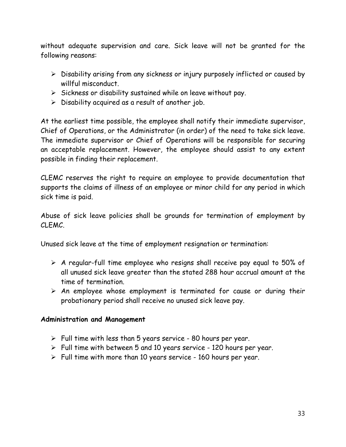without adequate supervision and care. Sick leave will not be granted for the following reasons:

- $\triangleright$  Disability arising from any sickness or injury purposely inflicted or caused by willful misconduct.
- $\triangleright$  Sickness or disability sustained while on leave without pay.
- $\triangleright$  Disability acquired as a result of another job.

At the earliest time possible, the employee shall notify their immediate supervisor, Chief of Operations, or the Administrator (in order) of the need to take sick leave. The immediate supervisor or Chief of Operations will be responsible for securing an acceptable replacement. However, the employee should assist to any extent possible in finding their replacement.

CLEMC reserves the right to require an employee to provide documentation that supports the claims of illness of an employee or minor child for any period in which sick time is paid.

Abuse of sick leave policies shall be grounds for termination of employment by CLEMC.

Unused sick leave at the time of employment resignation or termination:

- $\triangleright$  A regular-full time employee who resigns shall receive pay equal to 50% of all unused sick leave greater than the stated 288 hour accrual amount at the time of termination.
- $\triangleright$  An employee whose employment is terminated for cause or during their probationary period shall receive no unused sick leave pay.

#### **Administration and Management**

- $\triangleright$  Full time with less than 5 years service 80 hours per year.
- $\triangleright$  Full time with between 5 and 10 years service 120 hours per year.
- $\triangleright$  Full time with more than 10 years service 160 hours per year.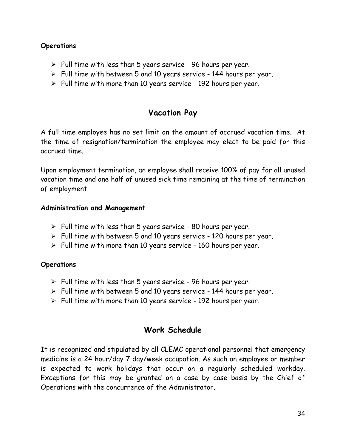#### **Operations**

- $\triangleright$  Full time with less than 5 years service 96 hours per year.
- $\triangleright$  Full time with between 5 and 10 years service 144 hours per year.
- $\triangleright$  Full time with more than 10 years service 192 hours per year.

# **Vacation Pay**

A full time employee has no set limit on the amount of accrued vacation time. At the time of resignation/termination the employee may elect to be paid for this accrued time.

Upon employment termination, an employee shall receive 100% of pay for all unused vacation time and one half of unused sick time remaining at the time of termination of employment.

#### **Administration and Management**

- $\triangleright$  Full time with less than 5 years service 80 hours per year.
- $\triangleright$  Full time with between 5 and 10 years service 120 hours per year.
- $\triangleright$  Full time with more than 10 years service 160 hours per year.

#### **Operations**

- $\triangleright$  Full time with less than 5 years service 96 hours per year.
- $\triangleright$  Full time with between 5 and 10 years service 144 hours per year.
- $\triangleright$  Full time with more than 10 years service 192 hours per year.

# **Work Schedule**

It is recognized and stipulated by all CLEMC operational personnel that emergency medicine is a 24 hour/day 7 day/week occupation. As such an employee or member is expected to work holidays that occur on a regularly scheduled workday. Exceptions for this may be granted on a case by case basis by the Chief of Operations with the concurrence of the Administrator.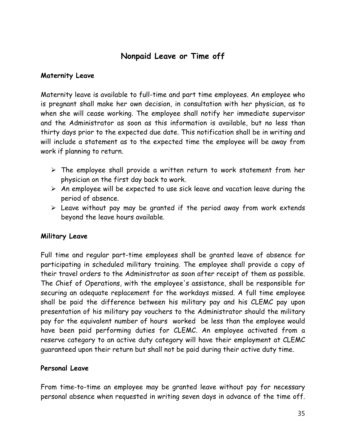# **Nonpaid Leave or Time off**

#### **Maternity Leave**

Maternity leave is available to full-time and part time employees. An employee who is pregnant shall make her own decision, in consultation with her physician, as to when she will cease working. The employee shall notify her immediate supervisor and the Administrator as soon as this information is available, but no less than thirty days prior to the expected due date. This notification shall be in writing and will include a statement as to the expected time the employee will be away from work if planning to return.

- $\triangleright$  The employee shall provide a written return to work statement from her physician on the first day back to work.
- $\triangleright$  An employee will be expected to use sick leave and vacation leave during the period of absence.
- $\triangleright$  Leave without pay may be granted if the period away from work extends beyond the leave hours available.

#### **Military Leave**

Full time and regular part-time employees shall be granted leave of absence for participating in scheduled military training. The employee shall provide a copy of their travel orders to the Administrator as soon after receipt of them as possible. The Chief of Operations, with the employee's assistance, shall be responsible for securing an adequate replacement for the workdays missed. A full time employee shall be paid the difference between his military pay and his CLEMC pay upon presentation of his military pay vouchers to the Administrator should the military pay for the equivalent number of hours worked be less than the employee would have been paid performing duties for CLEMC. An employee activated from a reserve category to an active duty category will have their employment at CLEMC guaranteed upon their return but shall not be paid during their active duty time.

#### **Personal Leave**

From time-to-time an employee may be granted leave without pay for necessary personal absence when requested in writing seven days in advance of the time off.